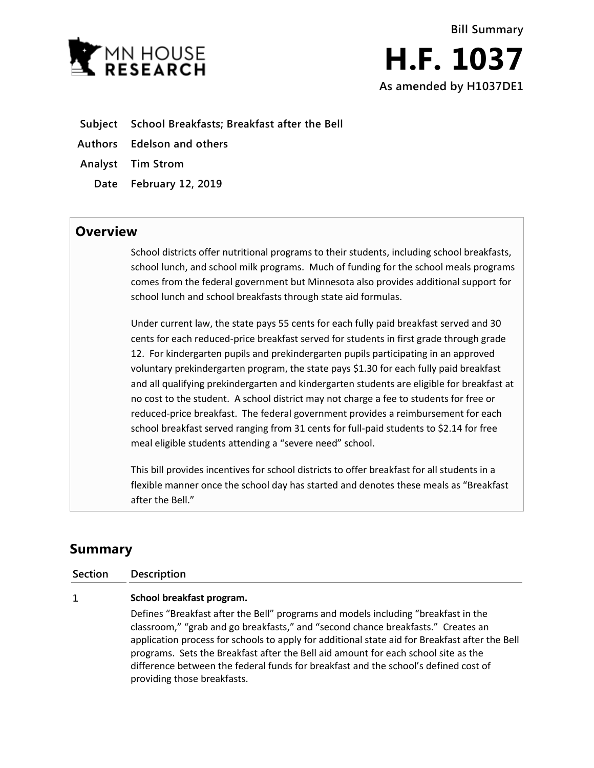

**Bill Summary H.F. 1037 As amended by H1037DE1**

- **Subject School Breakfasts; Breakfast after the Bell**
- **Authors Edelson and others**
- **Analyst Tim Strom**
	- **Date February 12, 2019**

## **Overview**

School districts offer nutritional programs to their students, including school breakfasts, school lunch, and school milk programs. Much of funding for the school meals programs comes from the federal government but Minnesota also provides additional support for school lunch and school breakfasts through state aid formulas.

Under current law, the state pays 55 cents for each fully paid breakfast served and 30 cents for each reduced-price breakfast served for students in first grade through grade 12. For kindergarten pupils and prekindergarten pupils participating in an approved voluntary prekindergarten program, the state pays \$1.30 for each fully paid breakfast and all qualifying prekindergarten and kindergarten students are eligible for breakfast at no cost to the student. A school district may not charge a fee to students for free or reduced-price breakfast. The federal government provides a reimbursement for each school breakfast served ranging from 31 cents for full-paid students to \$2.14 for free meal eligible students attending a "severe need" school.

This bill provides incentives for school districts to offer breakfast for all students in a flexible manner once the school day has started and denotes these meals as "Breakfast after the Bell."

# **Summary**

**Section Description**

#### 1 **School breakfast program.**

Defines "Breakfast after the Bell" programs and models including "breakfast in the classroom," "grab and go breakfasts," and "second chance breakfasts." Creates an application process for schools to apply for additional state aid for Breakfast after the Bell programs. Sets the Breakfast after the Bell aid amount for each school site as the difference between the federal funds for breakfast and the school's defined cost of providing those breakfasts.